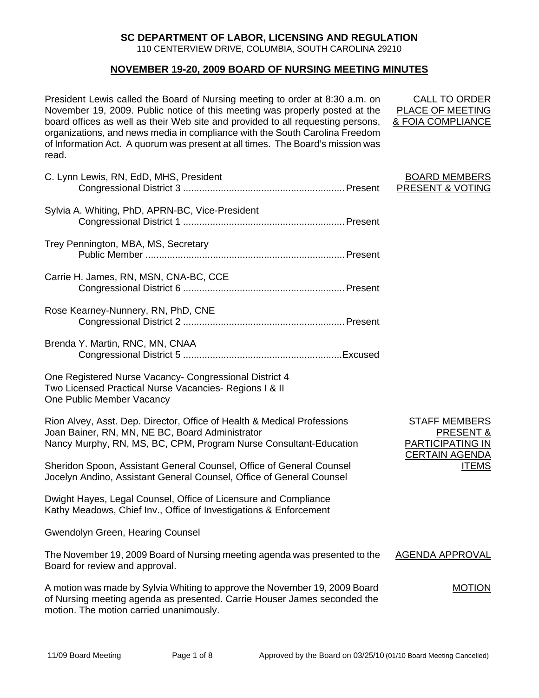## **SC DEPARTMENT OF LABOR, LICENSING AND REGULATION**

110 CENTERVIEW DRIVE, COLUMBIA, SOUTH CAROLINA 29210

### **NOVEMBER 19-20, 2009 BOARD OF NURSING MEETING MINUTES**

President Lewis called the Board of Nursing meeting to order at 8:30 a.m. on November 19, 2009. Public notice of this meeting was properly posted at the board offices as well as their Web site and provided to all requesting persons, organizations, and news media in compliance with the South Carolina Freedom of Information Act. A quorum was present at all times. The Board's mission was read.

| C. Lynn Lewis, RN, EdD, MHS, President                                                                                                                                                          | <b>BOARD MEMBERS</b><br><b>PRESENT &amp; VOTING</b>                     |
|-------------------------------------------------------------------------------------------------------------------------------------------------------------------------------------------------|-------------------------------------------------------------------------|
| Sylvia A. Whiting, PhD, APRN-BC, Vice-President                                                                                                                                                 |                                                                         |
| Trey Pennington, MBA, MS, Secretary                                                                                                                                                             |                                                                         |
| Carrie H. James, RN, MSN, CNA-BC, CCE                                                                                                                                                           |                                                                         |
| Rose Kearney-Nunnery, RN, PhD, CNE                                                                                                                                                              |                                                                         |
| Brenda Y. Martin, RNC, MN, CNAA                                                                                                                                                                 |                                                                         |
| One Registered Nurse Vacancy- Congressional District 4<br>Two Licensed Practical Nurse Vacancies- Regions I & II<br><b>One Public Member Vacancy</b>                                            |                                                                         |
| Rion Alvey, Asst. Dep. Director, Office of Health & Medical Professions<br>Joan Bainer, RN, MN, NE BC, Board Administrator<br>Nancy Murphy, RN, MS, BC, CPM, Program Nurse Consultant-Education | <b>STAFF MEMBERS</b><br><b>PRESENT &amp;</b><br><b>PARTICIPATING IN</b> |
| Sheridon Spoon, Assistant General Counsel, Office of General Counsel<br>Jocelyn Andino, Assistant General Counsel, Office of General Counsel                                                    | <b>CERTAIN AGENDA</b><br><b>ITEMS</b>                                   |
| Dwight Hayes, Legal Counsel, Office of Licensure and Compliance<br>Kathy Meadows, Chief Inv., Office of Investigations & Enforcement                                                            |                                                                         |
| Gwendolyn Green, Hearing Counsel                                                                                                                                                                |                                                                         |
| The November 19, 2009 Board of Nursing meeting agenda was presented to the<br>Board for review and approval.                                                                                    | <b>AGENDA APPROVAL</b>                                                  |
|                                                                                                                                                                                                 |                                                                         |

A motion was made by Sylvia Whiting to approve the November 19, 2009 Board of Nursing meeting agenda as presented. Carrie Houser James seconded the motion. The motion carried unanimously.

CALL TO ORDER PLACE OF MEETING & FOIA COMPLIANCE

### BOARD MEMBERS PRESENT & VOTING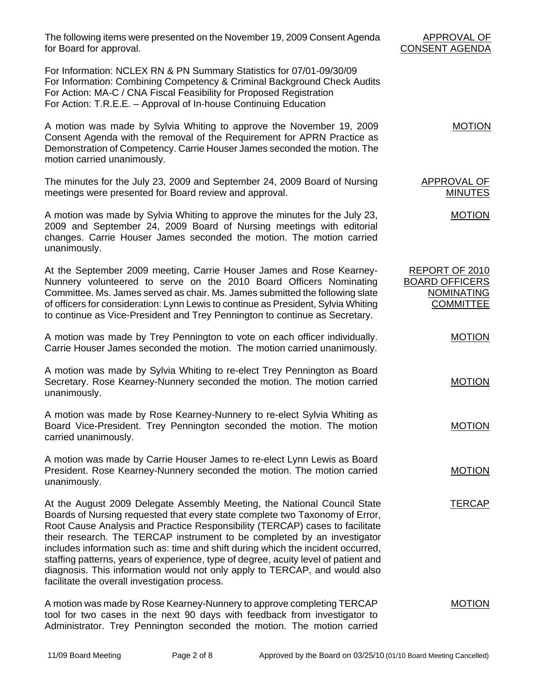The following items were presented on the November 19, 2009 Consent Agenda for Board for approval.

For Information: NCLEX RN & PN Summary Statistics for 07/01-09/30/09 For Information: Combining Competency & Criminal Background Check Audits For Action: MA-C / CNA Fiscal Feasibility for Proposed Registration For Action: T.R.E.E. – Approval of In-house Continuing Education

A motion was made by Sylvia Whiting to approve the November 19, 2009 Consent Agenda with the removal of the Requirement for APRN Practice as Demonstration of Competency. Carrie Houser James seconded the motion. The motion carried unanimously. MOTION

The minutes for the July 23, 2009 and September 24, 2009 Board of Nursing meetings were presented for Board review and approval.

A motion was made by Sylvia Whiting to approve the minutes for the July 23, 2009 and September 24, 2009 Board of Nursing meetings with editorial changes. Carrie Houser James seconded the motion. The motion carried unanimously.

At the September 2009 meeting, Carrie Houser James and Rose Kearney-Nunnery volunteered to serve on the 2010 Board Officers Nominating Committee. Ms. James served as chair. Ms. James submitted the following slate of officers for consideration: Lynn Lewis to continue as President, Sylvia Whiting to continue as Vice-President and Trey Pennington to continue as Secretary.

A motion was made by Trey Pennington to vote on each officer individually. Carrie Houser James seconded the motion. The motion carried unanimously.

A motion was made by Sylvia Whiting to re-elect Trey Pennington as Board Secretary. Rose Kearney-Nunnery seconded the motion. The motion carried unanimously.

A motion was made by Rose Kearney-Nunnery to re-elect Sylvia Whiting as Board Vice-President. Trey Pennington seconded the motion. The motion carried unanimously.

A motion was made by Carrie Houser James to re-elect Lynn Lewis as Board President. Rose Kearney-Nunnery seconded the motion. The motion carried unanimously.

At the August 2009 Delegate Assembly Meeting, the National Council State Boards of Nursing requested that every state complete two Taxonomy of Error, Root Cause Analysis and Practice Responsibility (TERCAP) cases to facilitate their research. The TERCAP instrument to be completed by an investigator includes information such as: time and shift during which the incident occurred, staffing patterns, years of experience, type of degree, acuity level of patient and diagnosis. This information would not only apply to TERCAP, and would also facilitate the overall investigation process.

A motion was made by Rose Kearney-Nunnery to approve completing TERCAP tool for two cases in the next 90 days with feedback from investigator to Administrator. Trey Pennington seconded the motion. The motion carried MOTION

# APPROVAL OF CONSENT AGENDA

APPROVAL OF MINUTES

REPORT OF 2010 BOARD OFFICERS NOMINATING **COMMITTEE** 

MOTION

MOTION

MOTION

MOTION

MOTION

**TERCAP**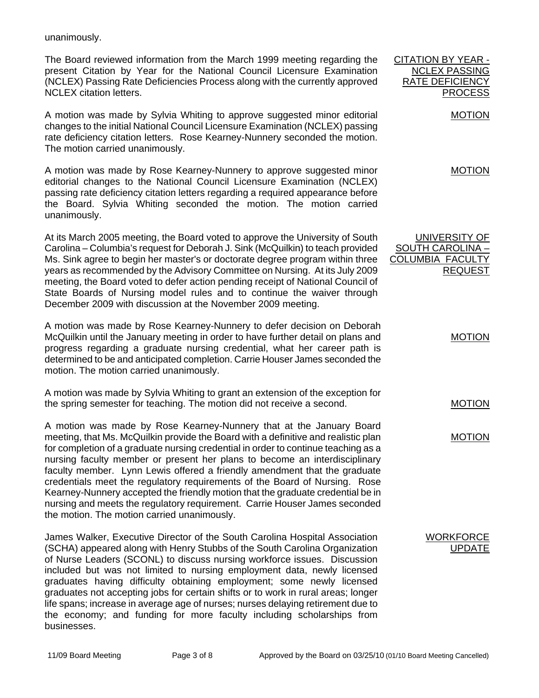unanimously.

The Board reviewed information from the March 1999 meeting regarding the present Citation by Year for the National Council Licensure Examination (NCLEX) Passing Rate Deficiencies Process along with the currently approved NCLEX citation letters.

A motion was made by Sylvia Whiting to approve suggested minor editorial changes to the initial National Council Licensure Examination (NCLEX) passing rate deficiency citation letters. Rose Kearney-Nunnery seconded the motion. The motion carried unanimously.

A motion was made by Rose Kearney-Nunnery to approve suggested minor editorial changes to the National Council Licensure Examination (NCLEX) passing rate deficiency citation letters regarding a required appearance before the Board. Sylvia Whiting seconded the motion. The motion carried unanimously.

At its March 2005 meeting, the Board voted to approve the University of South Carolina – Columbia's request for Deborah J. Sink (McQuilkin) to teach provided Ms. Sink agree to begin her master's or doctorate degree program within three years as recommended by the Advisory Committee on Nursing. At its July 2009 meeting, the Board voted to defer action pending receipt of National Council of State Boards of Nursing model rules and to continue the waiver through December 2009 with discussion at the November 2009 meeting.

A motion was made by Rose Kearney-Nunnery to defer decision on Deborah McQuilkin until the January meeting in order to have further detail on plans and progress regarding a graduate nursing credential, what her career path is determined to be and anticipated completion. Carrie Houser James seconded the motion. The motion carried unanimously.

A motion was made by Sylvia Whiting to grant an extension of the exception for the spring semester for teaching. The motion did not receive a second.

A motion was made by Rose Kearney-Nunnery that at the January Board meeting, that Ms. McQuilkin provide the Board with a definitive and realistic plan for completion of a graduate nursing credential in order to continue teaching as a nursing faculty member or present her plans to become an interdisciplinary faculty member. Lynn Lewis offered a friendly amendment that the graduate credentials meet the regulatory requirements of the Board of Nursing. Rose Kearney-Nunnery accepted the friendly motion that the graduate credential be in nursing and meets the regulatory requirement. Carrie Houser James seconded the motion. The motion carried unanimously.

James Walker, Executive Director of the South Carolina Hospital Association (SCHA) appeared along with Henry Stubbs of the South Carolina Organization of Nurse Leaders (SCONL) to discuss nursing workforce issues. Discussion included but was not limited to nursing employment data, newly licensed graduates having difficulty obtaining employment; some newly licensed graduates not accepting jobs for certain shifts or to work in rural areas; longer life spans; increase in average age of nurses; nurses delaying retirement due to the economy; and funding for more faculty including scholarships from businesses.

MOTION UNIVERSITY OF SOUTH CAROLINA – COLUMBIA FACULTY REQUEST

CITATION BY YEAR - NCLEX PASSING RATE DEFICIENCY

PROCESS

MOTION

MOTION

MOTION

MOTION

**WORKFORCE UPDATE**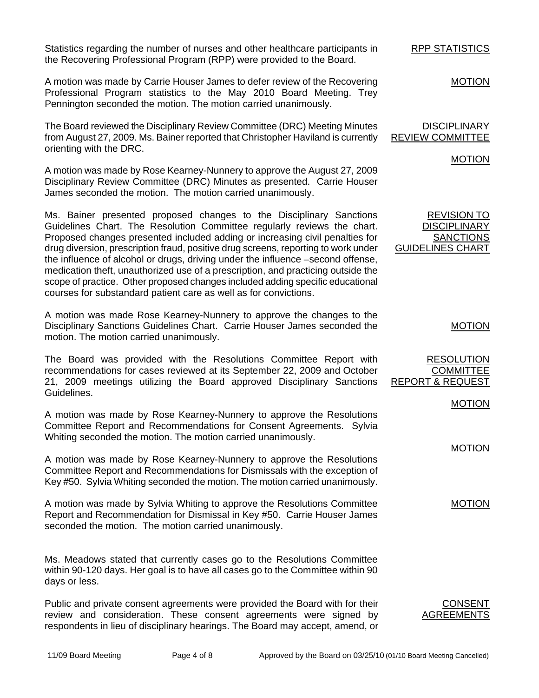Statistics regarding the number of nurses and other healthcare participants in the Recovering Professional Program (RPP) were provided to the Board.

A motion was made by Carrie Houser James to defer review of the Recovering Professional Program statistics to the May 2010 Board Meeting. Trey Pennington seconded the motion. The motion carried unanimously.

The Board reviewed the Disciplinary Review Committee (DRC) Meeting Minutes from August 27, 2009. Ms. Bainer reported that Christopher Haviland is currently orienting with the DRC.

A motion was made by Rose Kearney-Nunnery to approve the August 27, 2009 Disciplinary Review Committee (DRC) Minutes as presented. Carrie Houser James seconded the motion. The motion carried unanimously.

Ms. Bainer presented proposed changes to the Disciplinary Sanctions Guidelines Chart. The Resolution Committee regularly reviews the chart. Proposed changes presented included adding or increasing civil penalties for drug diversion, prescription fraud, positive drug screens, reporting to work under the influence of alcohol or drugs, driving under the influence –second offense, medication theft, unauthorized use of a prescription, and practicing outside the scope of practice. Other proposed changes included adding specific educational courses for substandard patient care as well as for convictions.

A motion was made Rose Kearney-Nunnery to approve the changes to the Disciplinary Sanctions Guidelines Chart. Carrie Houser James seconded the motion. The motion carried unanimously.

The Board was provided with the Resolutions Committee Report with recommendations for cases reviewed at its September 22, 2009 and October 21, 2009 meetings utilizing the Board approved Disciplinary Sanctions Guidelines.

A motion was made by Rose Kearney-Nunnery to approve the Resolutions Committee Report and Recommendations for Consent Agreements. Sylvia Whiting seconded the motion. The motion carried unanimously.

A motion was made by Rose Kearney-Nunnery to approve the Resolutions Committee Report and Recommendations for Dismissals with the exception of Key #50. Sylvia Whiting seconded the motion. The motion carried unanimously.

A motion was made by Sylvia Whiting to approve the Resolutions Committee Report and Recommendation for Dismissal in Key #50. Carrie Houser James seconded the motion. The motion carried unanimously.

Ms. Meadows stated that currently cases go to the Resolutions Committee within 90-120 days. Her goal is to have all cases go to the Committee within 90 days or less.

Public and private consent agreements were provided the Board with for their review and consideration. These consent agreements were signed by respondents in lieu of disciplinary hearings. The Board may accept, amend, or CONSENT AGREEMENTS

RPP STATISTICS

MOTION

**DISCIPLINARY** REVIEW COMMITTEE

MOTION

REVISION TO **DISCIPLINARY SANCTIONS** GUIDELINES CHART

MOTION

RESOLUTION **COMMITTEE** REPORT & REQUEST

MOTION

MOTION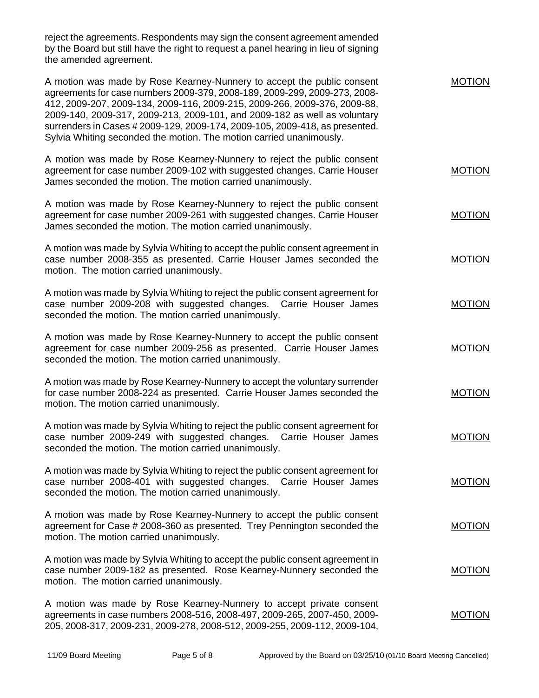reject the agreements. Respondents may sign the consent agreement amended by the Board but still have the right to request a panel hearing in lieu of signing the amended agreement.

| A motion was made by Rose Kearney-Nunnery to accept the public consent<br>agreements for case numbers 2009-379, 2008-189, 2009-299, 2009-273, 2008-<br>412, 2009-207, 2009-134, 2009-116, 2009-215, 2009-266, 2009-376, 2009-88,<br>2009-140, 2009-317, 2009-213, 2009-101, and 2009-182 as well as voluntary<br>surrenders in Cases # 2009-129, 2009-174, 2009-105, 2009-418, as presented.<br>Sylvia Whiting seconded the motion. The motion carried unanimously. | MOTION        |
|---------------------------------------------------------------------------------------------------------------------------------------------------------------------------------------------------------------------------------------------------------------------------------------------------------------------------------------------------------------------------------------------------------------------------------------------------------------------|---------------|
| A motion was made by Rose Kearney-Nunnery to reject the public consent<br>agreement for case number 2009-102 with suggested changes. Carrie Houser<br>James seconded the motion. The motion carried unanimously.                                                                                                                                                                                                                                                    | <b>MOTION</b> |
| A motion was made by Rose Kearney-Nunnery to reject the public consent<br>agreement for case number 2009-261 with suggested changes. Carrie Houser<br>James seconded the motion. The motion carried unanimously.                                                                                                                                                                                                                                                    | <b>MOTION</b> |
| A motion was made by Sylvia Whiting to accept the public consent agreement in<br>case number 2008-355 as presented. Carrie Houser James seconded the<br>motion. The motion carried unanimously.                                                                                                                                                                                                                                                                     | <b>MOTION</b> |
| A motion was made by Sylvia Whiting to reject the public consent agreement for<br>case number 2009-208 with suggested changes. Carrie Houser James<br>seconded the motion. The motion carried unanimously.                                                                                                                                                                                                                                                          | <b>MOTION</b> |
| A motion was made by Rose Kearney-Nunnery to accept the public consent<br>agreement for case number 2009-256 as presented. Carrie Houser James<br>seconded the motion. The motion carried unanimously.                                                                                                                                                                                                                                                              | <b>MOTION</b> |
| A motion was made by Rose Kearney-Nunnery to accept the voluntary surrender<br>for case number 2008-224 as presented. Carrie Houser James seconded the<br>motion. The motion carried unanimously.                                                                                                                                                                                                                                                                   | <b>MOTION</b> |
| A motion was made by Sylvia Whiting to reject the public consent agreement for<br>case number 2009-249 with suggested changes. Carrie Houser James<br>seconded the motion. The motion carried unanimously.                                                                                                                                                                                                                                                          | <b>MOTION</b> |
| A motion was made by Sylvia Whiting to reject the public consent agreement for<br>case number 2008-401 with suggested changes. Carrie Houser James<br>seconded the motion. The motion carried unanimously.                                                                                                                                                                                                                                                          | <b>MOTION</b> |
| A motion was made by Rose Kearney-Nunnery to accept the public consent<br>agreement for Case # 2008-360 as presented. Trey Pennington seconded the<br>motion. The motion carried unanimously.                                                                                                                                                                                                                                                                       | <b>MOTION</b> |
| A motion was made by Sylvia Whiting to accept the public consent agreement in<br>case number 2009-182 as presented. Rose Kearney-Nunnery seconded the<br>motion. The motion carried unanimously.                                                                                                                                                                                                                                                                    | <b>MOTION</b> |
| A motion was made by Rose Kearney-Nunnery to accept private consent<br>agreements in case numbers 2008-516, 2008-497, 2009-265, 2007-450, 2009-<br>205, 2008-317, 2009-231, 2009-278, 2008-512, 2009-255, 2009-112, 2009-104,                                                                                                                                                                                                                                       | <b>MOTION</b> |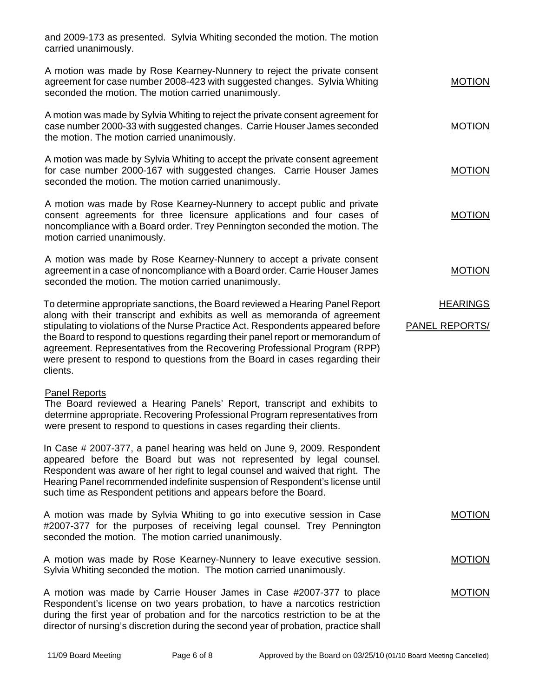and 2009-173 as presented. Sylvia Whiting seconded the motion. The motion carried unanimously.

| A motion was made by Rose Kearney-Nunnery to reject the private consent   |               |
|---------------------------------------------------------------------------|---------------|
| agreement for case number 2008-423 with suggested changes. Sylvia Whiting | <b>MOTION</b> |
| seconded the motion. The motion carried unanimously.                      |               |

A motion was made by Sylvia Whiting to reject the private consent agreement for case number 2000-33 with suggested changes. Carrie Houser James seconded the motion. The motion carried unanimously.

A motion was made by Sylvia Whiting to accept the private consent agreement for case number 2000-167 with suggested changes. Carrie Houser James seconded the motion. The motion carried unanimously.

A motion was made by Rose Kearney-Nunnery to accept public and private consent agreements for three licensure applications and four cases of noncompliance with a Board order. Trey Pennington seconded the motion. The motion carried unanimously.

A motion was made by Rose Kearney-Nunnery to accept a private consent agreement in a case of noncompliance with a Board order. Carrie Houser James seconded the motion. The motion carried unanimously.

To determine appropriate sanctions, the Board reviewed a Hearing Panel Report along with their transcript and exhibits as well as memoranda of agreement stipulating to violations of the Nurse Practice Act. Respondents appeared before the Board to respond to questions regarding their panel report or memorandum of agreement. Representatives from the Recovering Professional Program (RPP) were present to respond to questions from the Board in cases regarding their clients. **HEARINGS** PANEL REPORTS/

### Panel Reports

The Board reviewed a Hearing Panels' Report, transcript and exhibits to determine appropriate. Recovering Professional Program representatives from were present to respond to questions in cases regarding their clients.

In Case # 2007-377, a panel hearing was held on June 9, 2009. Respondent appeared before the Board but was not represented by legal counsel. Respondent was aware of her right to legal counsel and waived that right. The Hearing Panel recommended indefinite suspension of Respondent's license until such time as Respondent petitions and appears before the Board.

A motion was made by Sylvia Whiting to go into executive session in Case #2007-377 for the purposes of receiving legal counsel. Trey Pennington seconded the motion. The motion carried unanimously. MOTION

A motion was made by Rose Kearney-Nunnery to leave executive session. Sylvia Whiting seconded the motion. The motion carried unanimously.

A motion was made by Carrie Houser James in Case #2007-377 to place Respondent's license on two years probation, to have a narcotics restriction during the first year of probation and for the narcotics restriction to be at the director of nursing's discretion during the second year of probation, practice shall

MOTION

MOTION

MOTION

MOTION

MOTION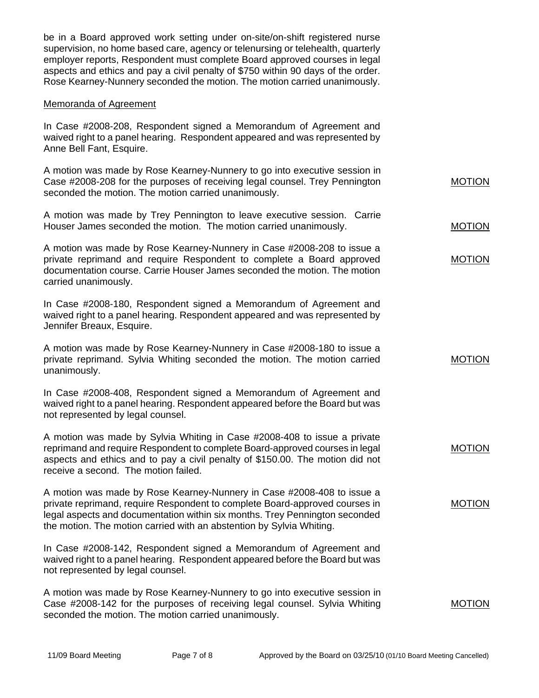be in a Board approved work setting under on-site/on-shift registered nurse supervision, no home based care, agency or telenursing or telehealth, quarterly employer reports, Respondent must complete Board approved courses in legal aspects and ethics and pay a civil penalty of \$750 within 90 days of the order. Rose Kearney-Nunnery seconded the motion. The motion carried unanimously.

### Memoranda of Agreement

In Case #2008-208, Respondent signed a Memorandum of Agreement and waived right to a panel hearing. Respondent appeared and was represented by Anne Bell Fant, Esquire.

| A motion was made by Rose Kearney-Nunnery to go into executive session in   |               |
|-----------------------------------------------------------------------------|---------------|
| Case #2008-208 for the purposes of receiving legal counsel. Trey Pennington | <b>MOTION</b> |
| seconded the motion. The motion carried unanimously.                        |               |

A motion was made by Trey Pennington to leave executive session. Carrie Houser James seconded the motion. The motion carried unanimously.

A motion was made by Rose Kearney-Nunnery in Case #2008-208 to issue a private reprimand and require Respondent to complete a Board approved documentation course. Carrie Houser James seconded the motion. The motion carried unanimously.

In Case #2008-180, Respondent signed a Memorandum of Agreement and waived right to a panel hearing. Respondent appeared and was represented by Jennifer Breaux, Esquire.

A motion was made by Rose Kearney-Nunnery in Case #2008-180 to issue a private reprimand. Sylvia Whiting seconded the motion. The motion carried unanimously.

In Case #2008-408, Respondent signed a Memorandum of Agreement and waived right to a panel hearing. Respondent appeared before the Board but was not represented by legal counsel.

A motion was made by Sylvia Whiting in Case #2008-408 to issue a private reprimand and require Respondent to complete Board-approved courses in legal aspects and ethics and to pay a civil penalty of \$150.00. The motion did not receive a second. The motion failed.

A motion was made by Rose Kearney-Nunnery in Case #2008-408 to issue a private reprimand, require Respondent to complete Board-approved courses in legal aspects and documentation within six months. Trey Pennington seconded the motion. The motion carried with an abstention by Sylvia Whiting.

In Case #2008-142, Respondent signed a Memorandum of Agreement and waived right to a panel hearing. Respondent appeared before the Board but was not represented by legal counsel.

A motion was made by Rose Kearney-Nunnery to go into executive session in Case #2008-142 for the purposes of receiving legal counsel. Sylvia Whiting seconded the motion. The motion carried unanimously.

MOTION

**MOTION** 

MOTION

MOTION

MOTION